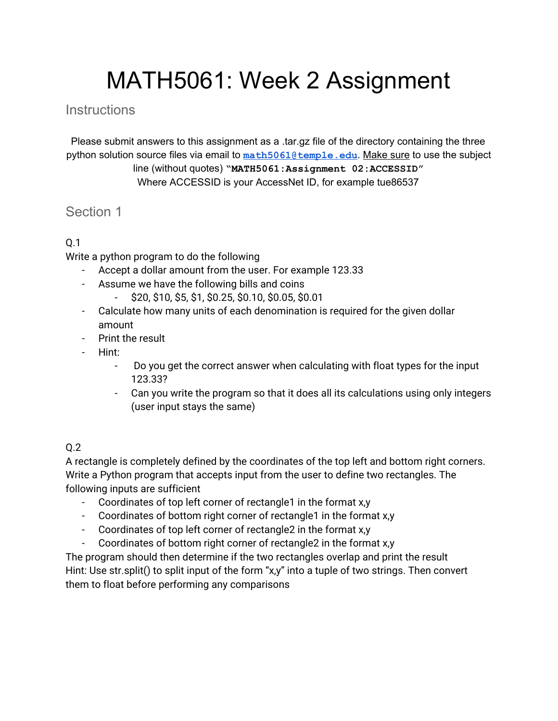# MATH5061: Week 2 Assignment

## **Instructions**

Please submit answers to this assignment as a .tar.gz file of the directory containing the three python solution source files via email to **[math5061@temple.edu](mailto:math5061@temple.edu)**. Make sure to use the subject line (without quotes) **"MATH5061:Assignment 02:ACCESSID"** Where ACCESSID is your AccessNet ID, for example tue86537

## Section 1

### Q.1

Write a python program to do the following

- Accept a dollar amount from the user. For example 123.33
- Assume we have the following bills and coins
	- \$20, \$10, \$5, \$1, \$0.25, \$0.10, \$0.05, \$0.01
- Calculate how many units of each denomination is required for the given dollar amount
- Print the result
- Hint:
	- Do you get the correct answer when calculating with float types for the input 123.33?
	- Can you write the program so that it does all its calculations using only integers (user input stays the same)

### Q.2

A rectangle is completely defined by the coordinates of the top left and bottom right corners. Write a Python program that accepts input from the user to define two rectangles. The following inputs are sufficient

- Coordinates of top left corner of rectangle1 in the format x,y
- Coordinates of bottom right corner of rectangle1 in the format x,y
- Coordinates of top left corner of rectangle2 in the format x,y
- Coordinates of bottom right corner of rectangle2 in the format x,y

The program should then determine if the two rectangles overlap and print the result Hint: Use str.split() to split input of the form "x,y" into a tuple of two strings. Then convert them to float before performing any comparisons